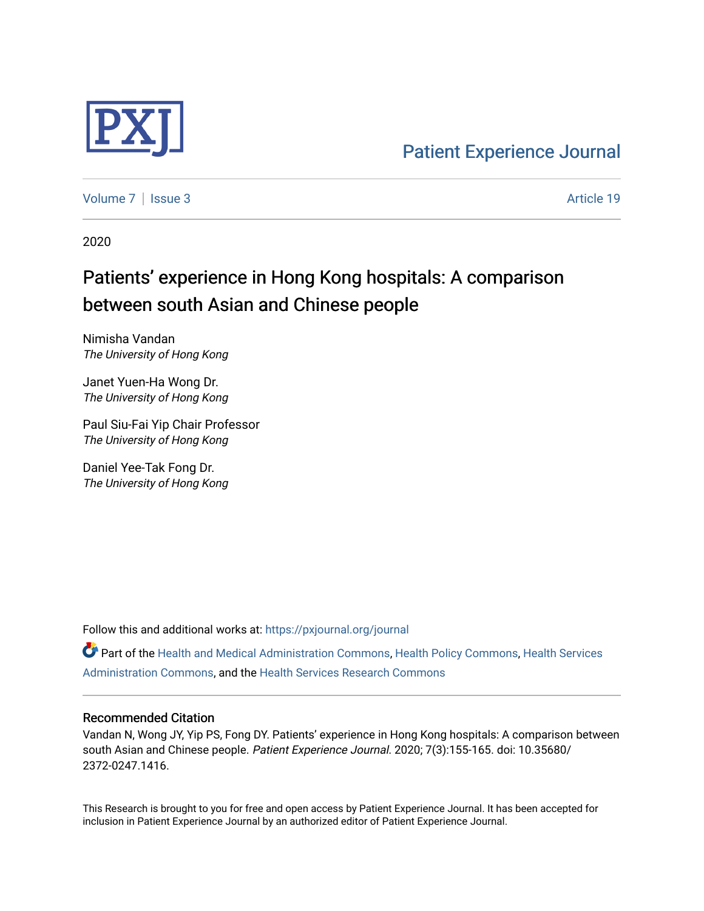

[Patient Experience Journal](https://pxjournal.org/journal) 

[Volume 7](https://pxjournal.org/journal/vol7) | [Issue 3](https://pxjournal.org/journal/vol7/iss3) Article 19

2020

# Patients' experience in Hong Kong hospitals: A comparison between south Asian and Chinese people

Nimisha Vandan The University of Hong Kong

Janet Yuen-Ha Wong Dr. The University of Hong Kong

Paul Siu-Fai Yip Chair Professor The University of Hong Kong

Daniel Yee-Tak Fong Dr. The University of Hong Kong

Follow this and additional works at: [https://pxjournal.org/journal](https://pxjournal.org/journal?utm_source=pxjournal.org%2Fjournal%2Fvol7%2Fiss3%2F19&utm_medium=PDF&utm_campaign=PDFCoverPages) 

Part of the [Health and Medical Administration Commons](http://network.bepress.com/hgg/discipline/663?utm_source=pxjournal.org%2Fjournal%2Fvol7%2Fiss3%2F19&utm_medium=PDF&utm_campaign=PDFCoverPages), [Health Policy Commons,](http://network.bepress.com/hgg/discipline/395?utm_source=pxjournal.org%2Fjournal%2Fvol7%2Fiss3%2F19&utm_medium=PDF&utm_campaign=PDFCoverPages) [Health Services](http://network.bepress.com/hgg/discipline/747?utm_source=pxjournal.org%2Fjournal%2Fvol7%2Fiss3%2F19&utm_medium=PDF&utm_campaign=PDFCoverPages) [Administration Commons,](http://network.bepress.com/hgg/discipline/747?utm_source=pxjournal.org%2Fjournal%2Fvol7%2Fiss3%2F19&utm_medium=PDF&utm_campaign=PDFCoverPages) and the [Health Services Research Commons](http://network.bepress.com/hgg/discipline/816?utm_source=pxjournal.org%2Fjournal%2Fvol7%2Fiss3%2F19&utm_medium=PDF&utm_campaign=PDFCoverPages) 

#### Recommended Citation

Vandan N, Wong JY, Yip PS, Fong DY. Patients' experience in Hong Kong hospitals: A comparison between south Asian and Chinese people. Patient Experience Journal. 2020; 7(3):155-165. doi: 10.35680/ 2372-0247.1416.

This Research is brought to you for free and open access by Patient Experience Journal. It has been accepted for inclusion in Patient Experience Journal by an authorized editor of Patient Experience Journal.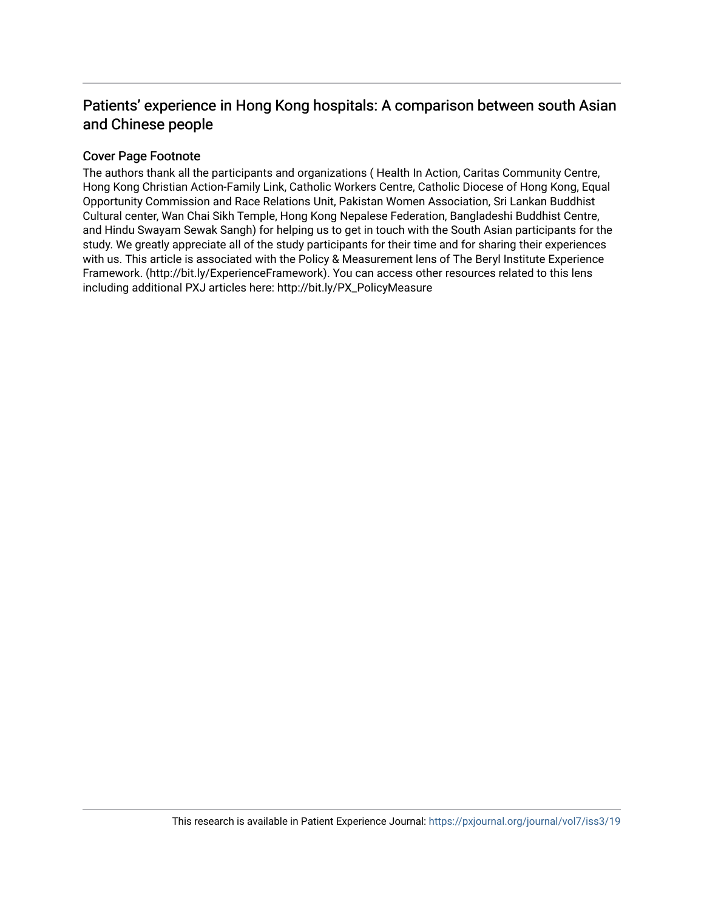# Patients' experience in Hong Kong hospitals: A comparison between south Asian and Chinese people

# Cover Page Footnote

The authors thank all the participants and organizations ( Health In Action, Caritas Community Centre, Hong Kong Christian Action-Family Link, Catholic Workers Centre, Catholic Diocese of Hong Kong, Equal Opportunity Commission and Race Relations Unit, Pakistan Women Association, Sri Lankan Buddhist Cultural center, Wan Chai Sikh Temple, Hong Kong Nepalese Federation, Bangladeshi Buddhist Centre, and Hindu Swayam Sewak Sangh) for helping us to get in touch with the South Asian participants for the study. We greatly appreciate all of the study participants for their time and for sharing their experiences with us. This article is associated with the Policy & Measurement lens of The Beryl Institute Experience Framework. (http://bit.ly/ExperienceFramework). You can access other resources related to this lens including additional PXJ articles here: http://bit.ly/PX\_PolicyMeasure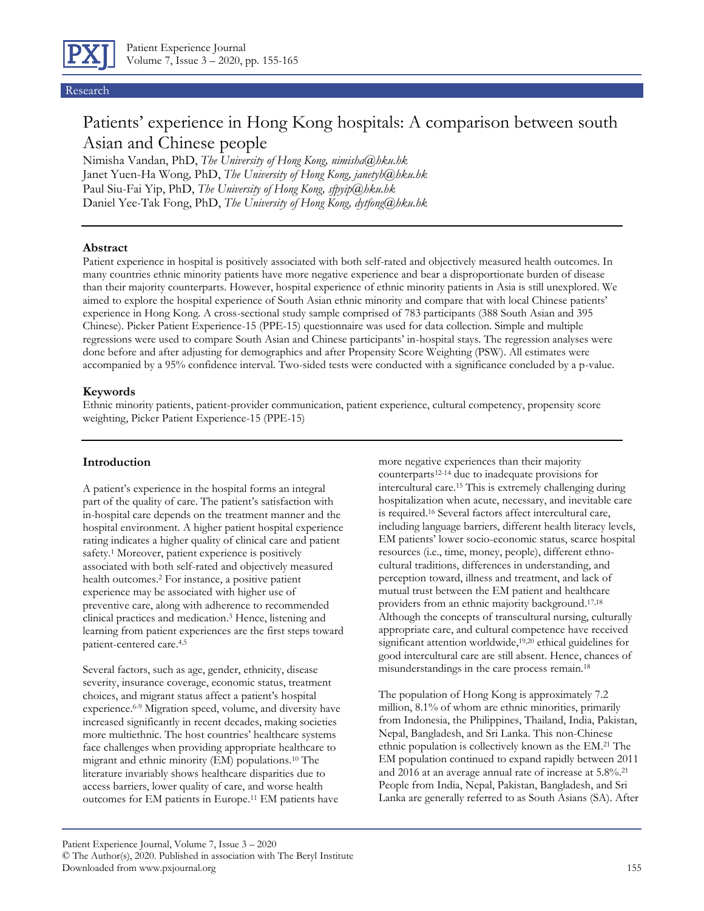

#### Research

# Patients' experience in Hong Kong hospitals: A comparison between south Asian and Chinese people

Nimisha Vandan, PhD, *The University of Hong Kong, nimisha@hku.hk* Janet Yuen-Ha Wong*,* PhD, *The University of Hong Kong, janetyh@hku.hk* Paul Siu-Fai Yip, PhD, *The University of Hong Kong, sfpyip@hku.hk* Daniel Yee-Tak Fong, PhD, *The University of Hong Kong, dytfong@hku.hk*

#### **Abstract**

Patient experience in hospital is positively associated with both self-rated and objectively measured health outcomes. In many countries ethnic minority patients have more negative experience and bear a disproportionate burden of disease than their majority counterparts. However, hospital experience of ethnic minority patients in Asia is still unexplored. We aimed to explore the hospital experience of South Asian ethnic minority and compare that with local Chinese patients' experience in Hong Kong. A cross-sectional study sample comprised of 783 participants (388 South Asian and 395 Chinese). Picker Patient Experience-15 (PPE-15) questionnaire was used for data collection. Simple and multiple regressions were used to compare South Asian and Chinese participants' in-hospital stays. The regression analyses were done before and after adjusting for demographics and after Propensity Score Weighting (PSW). All estimates were accompanied by a 95% confidence interval. Two-sided tests were conducted with a significance concluded by a p-value.

#### **Keywords**

Ethnic minority patients, patient-provider communication, patient experience, cultural competency, propensity score weighting, Picker Patient Experience-15 (PPE-15)

#### **Introduction**

A patient's experience in the hospital forms an integral part of the quality of care. The patient's satisfaction with in-hospital care depends on the treatment manner and the hospital environment. A higher patient hospital experience rating indicates a higher quality of clinical care and patient safety. <sup>1</sup> Moreover, patient experience is positively associated with both self-rated and objectively measured health outcomes. <sup>2</sup> For instance, a positive patient experience may be associated with higher use of preventive care, along with adherence to recommended clinical practices and medication. <sup>3</sup> Hence, listening and learning from patient experiences are the first steps toward patient-centered care. 4,5

Several factors, such as age, gender, ethnicity, disease severity, insurance coverage, economic status, treatment choices, and migrant status affect a patient's hospital experience. 6-9 Migration speed, volume, and diversity have increased significantly in recent decades, making societies more multiethnic. The host countries' healthcare systems face challenges when providing appropriate healthcare to migrant and ethnic minority (EM) populations. <sup>10</sup> The literature invariably shows healthcare disparities due to access barriers, lower quality of care, and worse health outcomes for EM patients in Europe. <sup>11</sup> EM patients have

more negative experiences than their majority counterparts12-14 due to inadequate provisions for intercultural care. <sup>15</sup> This is extremely challenging during hospitalization when acute, necessary, and inevitable care is required. <sup>16</sup> Several factors affect intercultural care, including language barriers, different health literacy levels, EM patients' lower socio-economic status, scarce hospital resources (i.e., time, money, people), different ethnocultural traditions, differences in understanding, and perception toward, illness and treatment, and lack of mutual trust between the EM patient and healthcare providers from an ethnic majority background. 17,18 Although the concepts of transcultural nursing, culturally appropriate care, and cultural competence have received significant attention worldwide, 19,20 ethical guidelines for good intercultural care are still absent. Hence, chances of misunderstandings in the care process remain. 18

The population of Hong Kong is approximately 7.2 million, 8.1% of whom are ethnic minorities, primarily from Indonesia, the Philippines, Thailand, India, Pakistan, Nepal, Bangladesh, and Sri Lanka. This non-Chinese ethnic population is collectively known as the EM. <sup>21</sup> The EM population continued to expand rapidly between 2011 and 2016 at an average annual rate of increase at 5.8%. 21 People from India, Nepal, Pakistan, Bangladesh, and Sri Lanka are generally referred to as South Asians (SA). After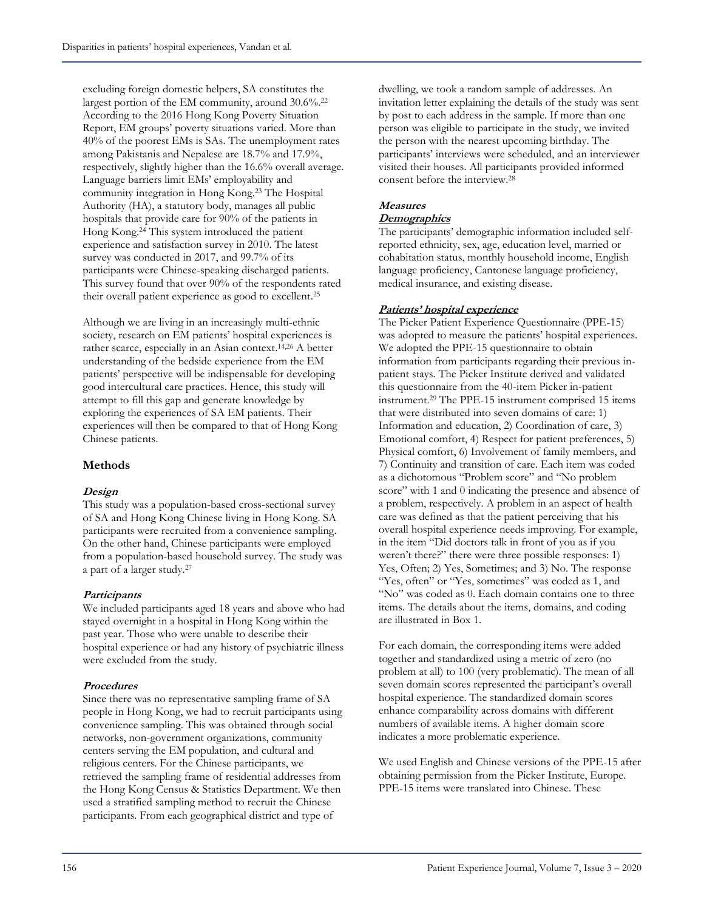excluding foreign domestic helpers, SA constitutes the largest portion of the EM community, around 30.6%. 22 According to the 2016 Hong Kong Poverty Situation Report, EM groups' poverty situations varied. More than 40% of the poorest EMs is SAs. The unemployment rates among Pakistanis and Nepalese are 18.7% and 17.9%, respectively, slightly higher than the 16.6% overall average. Language barriers limit EMs' employability and community integration in Hong Kong. <sup>23</sup> The Hospital Authority (HA), a statutory body, manages all public hospitals that provide care for 90% of the patients in Hong Kong. <sup>24</sup> This system introduced the patient experience and satisfaction survey in 2010. The latest survey was conducted in 2017, and 99.7% of its participants were Chinese-speaking discharged patients. This survey found that over 90% of the respondents rated their overall patient experience as good to excellent. 25

Although we are living in an increasingly multi-ethnic society, research on EM patients' hospital experiences is rather scarce, especially in an Asian context. 14,26 A better understanding of the bedside experience from the EM patients' perspective will be indispensable for developing good intercultural care practices. Hence, this study will attempt to fill this gap and generate knowledge by exploring the experiences of SA EM patients. Their experiences will then be compared to that of Hong Kong Chinese patients.

# **Methods**

# **Design**

This study was a population-based cross-sectional survey of SA and Hong Kong Chinese living in Hong Kong. SA participants were recruited from a convenience sampling. On the other hand, Chinese participants were employed from a population-based household survey. The study was a part of a larger study. 27

#### **Participants**

We included participants aged 18 years and above who had stayed overnight in a hospital in Hong Kong within the past year. Those who were unable to describe their hospital experience or had any history of psychiatric illness were excluded from the study.

#### **Procedures**

Since there was no representative sampling frame of SA people in Hong Kong, we had to recruit participants using convenience sampling. This was obtained through social networks, non-government organizations, community centers serving the EM population, and cultural and religious centers. For the Chinese participants, we retrieved the sampling frame of residential addresses from the Hong Kong Census & Statistics Department. We then used a stratified sampling method to recruit the Chinese participants. From each geographical district and type of

dwelling, we took a random sample of addresses. An invitation letter explaining the details of the study was sent by post to each address in the sample. If more than one person was eligible to participate in the study, we invited the person with the nearest upcoming birthday. The participants' interviews were scheduled, and an interviewer visited their houses. All participants provided informed consent before the interview. 28

#### **Measures Demographics**

The participants' demographic information included selfreported ethnicity, sex, age, education level, married or cohabitation status, monthly household income, English language proficiency, Cantonese language proficiency, medical insurance, and existing disease.

### **Patients' hospital experience**

The Picker Patient Experience Questionnaire (PPE-15) was adopted to measure the patients' hospital experiences. We adopted the PPE-15 questionnaire to obtain information from participants regarding their previous inpatient stays. The Picker Institute derived and validated this questionnaire from the 40-item Picker in-patient instrument. <sup>29</sup> The PPE-15 instrument comprised 15 items that were distributed into seven domains of care: 1) Information and education, 2) Coordination of care, 3) Emotional comfort, 4) Respect for patient preferences, 5) Physical comfort, 6) Involvement of family members, and 7) Continuity and transition of care. Each item was coded as a dichotomous "Problem score" and "No problem score" with 1 and 0 indicating the presence and absence of a problem, respectively. A problem in an aspect of health care was defined as that the patient perceiving that his overall hospital experience needs improving. For example, in the item "Did doctors talk in front of you as if you weren't there?" there were three possible responses: 1) Yes, Often; 2) Yes, Sometimes; and 3) No. The response "Yes, often" or "Yes, sometimes" was coded as 1, and "No" was coded as 0. Each domain contains one to three items. The details about the items, domains, and coding are illustrated in Box 1.

For each domain, the corresponding items were added together and standardized using a metric of zero (no problem at all) to 100 (very problematic). The mean of all seven domain scores represented the participant's overall hospital experience. The standardized domain scores enhance comparability across domains with different numbers of available items. A higher domain score indicates a more problematic experience.

We used English and Chinese versions of the PPE-15 after obtaining permission from the Picker Institute, Europe. PPE-15 items were translated into Chinese. These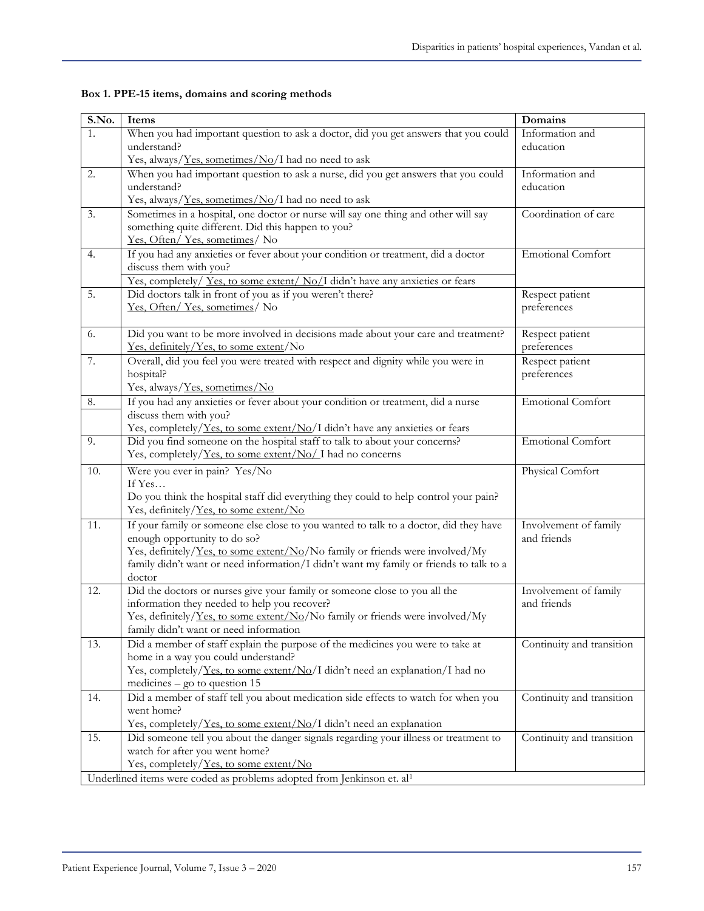| S.No.                                                                              | Items                                                                                                                       | Domains                        |  |  |  |  |
|------------------------------------------------------------------------------------|-----------------------------------------------------------------------------------------------------------------------------|--------------------------------|--|--|--|--|
| 1.                                                                                 | When you had important question to ask a doctor, did you get answers that you could                                         | Information and                |  |  |  |  |
|                                                                                    | understand?                                                                                                                 | education                      |  |  |  |  |
|                                                                                    | Yes, always/ <i>Yes, sometimes/No/I</i> had no need to ask                                                                  |                                |  |  |  |  |
| 2.                                                                                 | When you had important question to ask a nurse, did you get answers that you could                                          | Information and                |  |  |  |  |
|                                                                                    | understand?                                                                                                                 | education                      |  |  |  |  |
|                                                                                    | Yes, always/Yes, sometimes/No/I had no need to ask                                                                          |                                |  |  |  |  |
| 3.                                                                                 | Sometimes in a hospital, one doctor or nurse will say one thing and other will say                                          | Coordination of care           |  |  |  |  |
|                                                                                    | something quite different. Did this happen to you?                                                                          |                                |  |  |  |  |
|                                                                                    | Yes, Often/Yes, sometimes/No                                                                                                |                                |  |  |  |  |
| 4.                                                                                 | If you had any anxieties or fever about your condition or treatment, did a doctor                                           | <b>Emotional Comfort</b>       |  |  |  |  |
|                                                                                    | discuss them with you?                                                                                                      |                                |  |  |  |  |
|                                                                                    | Yes, completely/ Yes, to some extent/ No/I didn't have any anxieties or fears                                               |                                |  |  |  |  |
| 5.                                                                                 | Did doctors talk in front of you as if you weren't there?                                                                   | Respect patient                |  |  |  |  |
|                                                                                    | Yes, Often/Yes, sometimes/No                                                                                                | preferences                    |  |  |  |  |
|                                                                                    |                                                                                                                             |                                |  |  |  |  |
| 6.                                                                                 | Did you want to be more involved in decisions made about your care and treatment?<br>Yes, definitely/Yes, to some extent/No | Respect patient<br>preferences |  |  |  |  |
|                                                                                    |                                                                                                                             |                                |  |  |  |  |
| 7.                                                                                 | Overall, did you feel you were treated with respect and dignity while you were in                                           | Respect patient<br>preferences |  |  |  |  |
|                                                                                    | hospital?                                                                                                                   |                                |  |  |  |  |
|                                                                                    | Yes, always/Yes, sometimes/No                                                                                               |                                |  |  |  |  |
| 8.                                                                                 | If you had any anxieties or fever about your condition or treatment, did a nurse<br>discuss them with you?                  | Emotional Comfort              |  |  |  |  |
|                                                                                    | Yes, completely/Yes, to some extent/No/I didn't have any anxieties or fears                                                 |                                |  |  |  |  |
| 9.                                                                                 | Did you find someone on the hospital staff to talk to about your concerns?                                                  | <b>Emotional Comfort</b>       |  |  |  |  |
|                                                                                    | Yes, completely/Yes, to some extent/No/I had no concerns                                                                    |                                |  |  |  |  |
| 10.                                                                                | Were you ever in pain? Yes/No                                                                                               | Physical Comfort               |  |  |  |  |
|                                                                                    | If $Yes$                                                                                                                    |                                |  |  |  |  |
|                                                                                    | Do you think the hospital staff did everything they could to help control your pain?                                        |                                |  |  |  |  |
|                                                                                    | Yes, definitely/Yes, to some extent/No                                                                                      |                                |  |  |  |  |
| 11.                                                                                | If your family or someone else close to you wanted to talk to a doctor, did they have                                       | Involvement of family          |  |  |  |  |
|                                                                                    | enough opportunity to do so?                                                                                                | and friends                    |  |  |  |  |
|                                                                                    | Yes, definitely/Yes, to some extent/No/No family or friends were involved/My                                                |                                |  |  |  |  |
|                                                                                    | family didn't want or need information/I didn't want my family or friends to talk to a                                      |                                |  |  |  |  |
|                                                                                    | doctor                                                                                                                      |                                |  |  |  |  |
| 12.                                                                                | Did the doctors or nurses give your family or someone close to you all the                                                  | Involvement of family          |  |  |  |  |
|                                                                                    | information they needed to help you recover?                                                                                | and friends                    |  |  |  |  |
|                                                                                    | Yes, definitely/Yes, to some extent/No/No family or friends were involved/My                                                |                                |  |  |  |  |
|                                                                                    | family didn't want or need information                                                                                      |                                |  |  |  |  |
| 13.                                                                                | Did a member of staff explain the purpose of the medicines you were to take at                                              | Continuity and transition      |  |  |  |  |
|                                                                                    | home in a way you could understand?                                                                                         |                                |  |  |  |  |
|                                                                                    | Yes, completely/Yes, to some extent/No/I didn't need an explanation/I had no                                                |                                |  |  |  |  |
|                                                                                    | medicines $-$ go to question 15                                                                                             |                                |  |  |  |  |
| 14.                                                                                | Did a member of staff tell you about medication side effects to watch for when you                                          | Continuity and transition      |  |  |  |  |
|                                                                                    | went home?                                                                                                                  |                                |  |  |  |  |
|                                                                                    | Yes, completely/Yes, to some extent/No/I didn't need an explanation                                                         |                                |  |  |  |  |
| 15.                                                                                | Did someone tell you about the danger signals regarding your illness or treatment to                                        | Continuity and transition      |  |  |  |  |
|                                                                                    | watch for after you went home?                                                                                              |                                |  |  |  |  |
|                                                                                    | Yes, completely/Yes, to some extent/No                                                                                      |                                |  |  |  |  |
| Underlined items were coded as problems adopted from Jenkinson et. al <sup>1</sup> |                                                                                                                             |                                |  |  |  |  |

**Box 1. PPE-15 items, domains and scoring methods**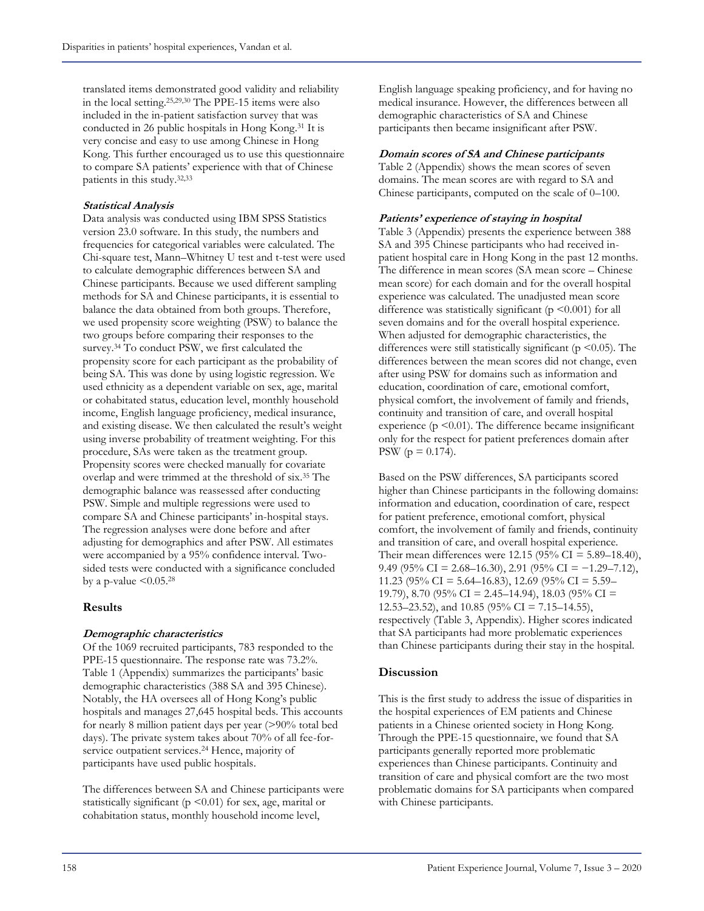translated items demonstrated good validity and reliability in the local setting. 25,29,30 The PPE-15 items were also included in the in-patient satisfaction survey that was conducted in 26 public hospitals in Hong Kong. <sup>31</sup> It is very concise and easy to use among Chinese in Hong Kong. This further encouraged us to use this questionnaire to compare SA patients' experience with that of Chinese patients in this study. 32,33

#### **Statistical Analysis**

Data analysis was conducted using IBM SPSS Statistics version 23.0 software. In this study, the numbers and frequencies for categorical variables were calculated. The Chi-square test, Mann–Whitney U test and t-test were used to calculate demographic differences between SA and Chinese participants. Because we used different sampling methods for SA and Chinese participants, it is essential to balance the data obtained from both groups. Therefore, we used propensity score weighting (PSW) to balance the two groups before comparing their responses to the survey. <sup>34</sup> To conduct PSW, we first calculated the propensity score for each participant as the probability of being SA. This was done by using logistic regression. We used ethnicity as a dependent variable on sex, age, marital or cohabitated status, education level, monthly household income, English language proficiency, medical insurance, and existing disease. We then calculated the result's weight using inverse probability of treatment weighting. For this procedure, SAs were taken as the treatment group. Propensity scores were checked manually for covariate overlap and were trimmed at the threshold of six. <sup>35</sup> The demographic balance was reassessed after conducting PSW. Simple and multiple regressions were used to compare SA and Chinese participants' in-hospital stays. The regression analyses were done before and after adjusting for demographics and after PSW. All estimates were accompanied by a 95% confidence interval. Twosided tests were conducted with a significance concluded by a p-value  $\leq 0.05$ .<sup>28</sup>

#### **Results**

#### **Demographic characteristics**

Of the 1069 recruited participants, 783 responded to the PPE-15 questionnaire. The response rate was 73.2%. Table 1 (Appendix) summarizes the participants' basic demographic characteristics (388 SA and 395 Chinese). Notably, the HA oversees all of Hong Kong's public hospitals and manages 27,645 hospital beds. This accounts for nearly 8 million patient days per year (>90% total bed days). The private system takes about 70% of all fee-forservice outpatient services. <sup>24</sup> Hence, majority of participants have used public hospitals.

The differences between SA and Chinese participants were statistically significant ( $p$  <0.01) for sex, age, marital or cohabitation status, monthly household income level,

English language speaking proficiency, and for having no medical insurance. However, the differences between all demographic characteristics of SA and Chinese participants then became insignificant after PSW.

#### **Domain scores of SA and Chinese participants**

Table 2 (Appendix) shows the mean scores of seven domains. The mean scores are with regard to SA and Chinese participants, computed on the scale of 0–100.

#### **Patients' experience of staying in hospital**

Table 3 (Appendix) presents the experience between 388 SA and 395 Chinese participants who had received inpatient hospital care in Hong Kong in the past 12 months. The difference in mean scores (SA mean score – Chinese mean score) for each domain and for the overall hospital experience was calculated. The unadjusted mean score difference was statistically significant ( $p \le 0.001$ ) for all seven domains and for the overall hospital experience. When adjusted for demographic characteristics, the differences were still statistically significant ( $p \le 0.05$ ). The differences between the mean scores did not change, even after using PSW for domains such as information and education, coordination of care, emotional comfort, physical comfort, the involvement of family and friends, continuity and transition of care, and overall hospital experience ( $p \le 0.01$ ). The difference became insignificant only for the respect for patient preferences domain after PSW ( $p = 0.174$ ).

Based on the PSW differences, SA participants scored higher than Chinese participants in the following domains: information and education, coordination of care, respect for patient preference, emotional comfort, physical comfort, the involvement of family and friends, continuity and transition of care, and overall hospital experience. Their mean differences were 12.15 (95% CI = 5.89–18.40), 9.49 (95% CI = 2.68–16.30), 2.91 (95% CI =  $-1.29$ –7.12), 11.23 (95% CI = 5.64–16.83), 12.69 (95% CI = 5.59– 19.79), 8.70 (95% CI = 2.45–14.94), 18.03 (95% CI = 12.53–23.52), and 10.85 (95% CI = 7.15–14.55), respectively (Table 3, Appendix). Higher scores indicated that SA participants had more problematic experiences than Chinese participants during their stay in the hospital.

# **Discussion**

This is the first study to address the issue of disparities in the hospital experiences of EM patients and Chinese patients in a Chinese oriented society in Hong Kong. Through the PPE-15 questionnaire, we found that SA participants generally reported more problematic experiences than Chinese participants. Continuity and transition of care and physical comfort are the two most problematic domains for SA participants when compared with Chinese participants.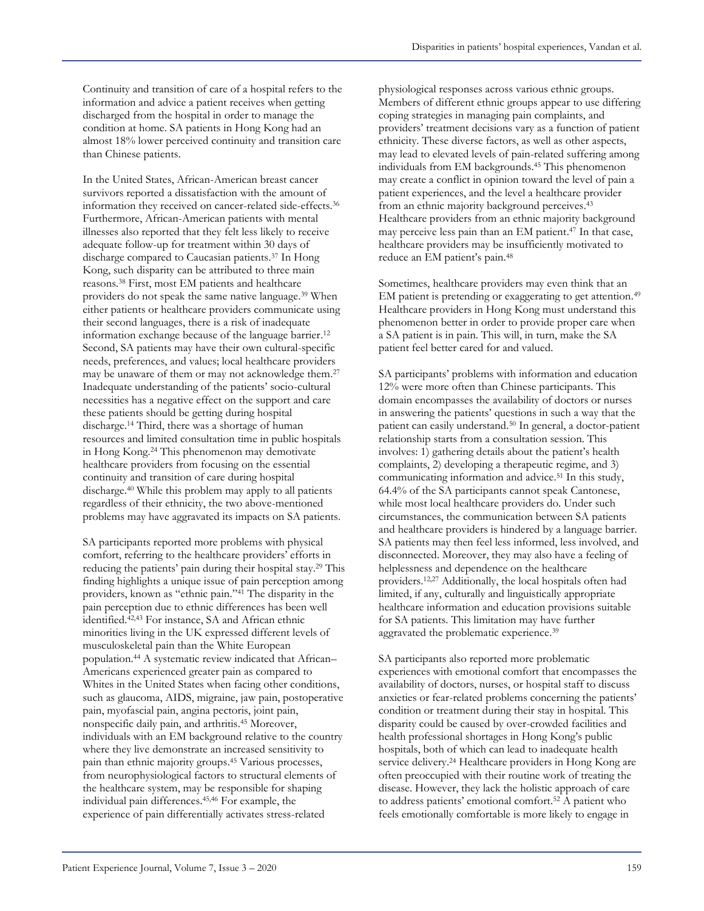Continuity and transition of care of a hospital refers to the information and advice a patient receives when getting discharged from the hospital in order to manage the condition at home. SA patients in Hong Kong had an almost 18% lower perceived continuity and transition care than Chinese patients.

In the United States, African-American breast cancer survivors reported a dissatisfaction with the amount of information they received on cancer-related side-effects. 36 Furthermore, African-American patients with mental illnesses also reported that they felt less likely to receive adequate follow-up for treatment within 30 days of discharge compared to Caucasian patients. <sup>37</sup> In Hong Kong, such disparity can be attributed to three main reasons. <sup>38</sup> First, most EM patients and healthcare providers do not speak the same native language. <sup>39</sup> When either patients or healthcare providers communicate using their second languages, there is a risk of inadequate information exchange because of the language barrier. 12 Second, SA patients may have their own cultural-specific needs, preferences, and values; local healthcare providers may be unaware of them or may not acknowledge them. 27 Inadequate understanding of the patients' socio-cultural necessities has a negative effect on the support and care these patients should be getting during hospital discharge. <sup>14</sup> Third, there was a shortage of human resources and limited consultation time in public hospitals in Hong Kong. <sup>24</sup> This phenomenon may demotivate healthcare providers from focusing on the essential continuity and transition of care during hospital discharge. <sup>40</sup> While this problem may apply to all patients regardless of their ethnicity, the two above-mentioned problems may have aggravated its impacts on SA patients.

SA participants reported more problems with physical comfort, referring to the healthcare providers' efforts in reducing the patients' pain during their hospital stay. <sup>29</sup> This finding highlights a unique issue of pain perception among providers, known as "ethnic pain." <sup>41</sup> The disparity in the pain perception due to ethnic differences has been well identified. 42,43 For instance, SA and African ethnic minorities living in the UK expressed different levels of musculoskeletal pain than the White European population. <sup>44</sup> A systematic review indicated that African– Americans experienced greater pain as compared to Whites in the United States when facing other conditions, such as glaucoma, AIDS, migraine, jaw pain, postoperative pain, myofascial pain, angina pectoris, joint pain, nonspecific daily pain, and arthritis. <sup>45</sup> Moreover, individuals with an EM background relative to the country where they live demonstrate an increased sensitivity to pain than ethnic majority groups. <sup>45</sup> Various processes, from neurophysiological factors to structural elements of the healthcare system, may be responsible for shaping individual pain differences. 45,46 For example, the experience of pain differentially activates stress-related

physiological responses across various ethnic groups. Members of different ethnic groups appear to use differing coping strategies in managing pain complaints, and providers' treatment decisions vary as a function of patient ethnicity. These diverse factors, as well as other aspects, may lead to elevated levels of pain-related suffering among individuals from EM backgrounds. <sup>45</sup> This phenomenon may create a conflict in opinion toward the level of pain a patient experiences, and the level a healthcare provider from an ethnic majority background perceives.<sup>43</sup> Healthcare providers from an ethnic majority background may perceive less pain than an EM patient. <sup>47</sup> In that case, healthcare providers may be insufficiently motivated to reduce an EM patient's pain. 48

Sometimes, healthcare providers may even think that an EM patient is pretending or exaggerating to get attention. 49 Healthcare providers in Hong Kong must understand this phenomenon better in order to provide proper care when a SA patient is in pain. This will, in turn, make the SA patient feel better cared for and valued.

SA participants' problems with information and education 12% were more often than Chinese participants. This domain encompasses the availability of doctors or nurses in answering the patients' questions in such a way that the patient can easily understand. <sup>50</sup> In general, a doctor-patient relationship starts from a consultation session. This involves: 1) gathering details about the patient's health complaints, 2) developing a therapeutic regime, and 3) communicating information and advice. <sup>51</sup> In this study, 64.4% of the SA participants cannot speak Cantonese, while most local healthcare providers do. Under such circumstances, the communication between SA patients and healthcare providers is hindered by a language barrier. SA patients may then feel less informed, less involved, and disconnected. Moreover, they may also have a feeling of helplessness and dependence on the healthcare providers. 12,27 Additionally, the local hospitals often had limited, if any, culturally and linguistically appropriate healthcare information and education provisions suitable for SA patients. This limitation may have further aggravated the problematic experience. 39

SA participants also reported more problematic experiences with emotional comfort that encompasses the availability of doctors, nurses, or hospital staff to discuss anxieties or fear-related problems concerning the patients' condition or treatment during their stay in hospital. This disparity could be caused by over-crowded facilities and health professional shortages in Hong Kong's public hospitals, both of which can lead to inadequate health service delivery. <sup>24</sup> Healthcare providers in Hong Kong are often preoccupied with their routine work of treating the disease. However, they lack the holistic approach of care to address patients' emotional comfort. <sup>52</sup> A patient who feels emotionally comfortable is more likely to engage in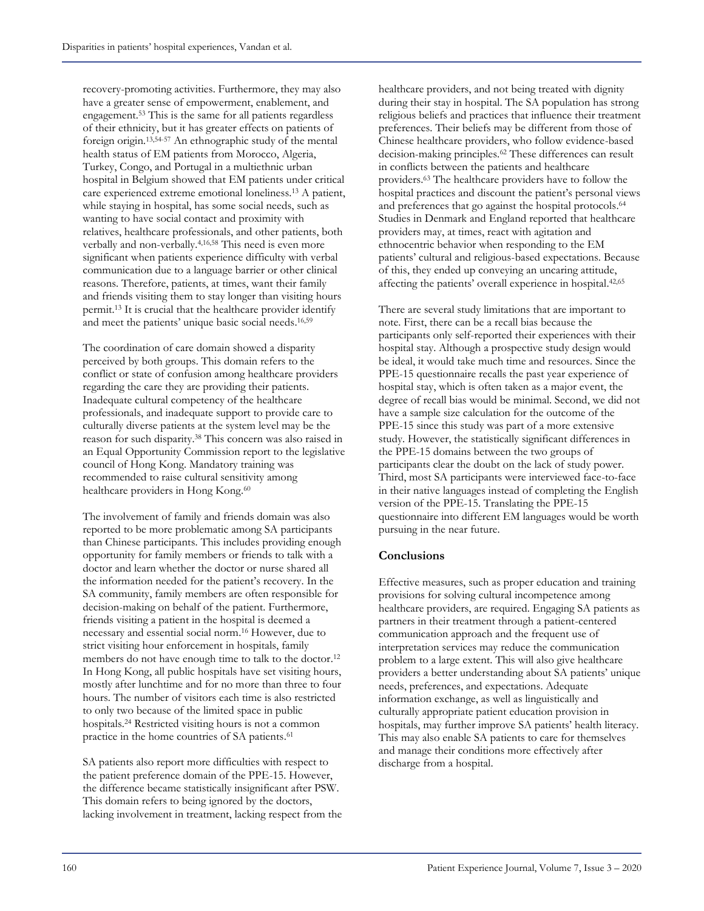recovery-promoting activities. Furthermore, they may also have a greater sense of empowerment, enablement, and engagement. <sup>53</sup> This is the same for all patients regardless of their ethnicity, but it has greater effects on patients of foreign origin. 13,54-57 An ethnographic study of the mental health status of EM patients from Morocco, Algeria, Turkey, Congo, and Portugal in a multiethnic urban hospital in Belgium showed that EM patients under critical care experienced extreme emotional loneliness. <sup>13</sup> A patient, while staying in hospital, has some social needs, such as wanting to have social contact and proximity with relatives, healthcare professionals, and other patients, both verbally and non-verbally. 4,16,58 This need is even more significant when patients experience difficulty with verbal communication due to a language barrier or other clinical reasons. Therefore, patients, at times, want their family and friends visiting them to stay longer than visiting hours permit. <sup>13</sup> It is crucial that the healthcare provider identify and meet the patients' unique basic social needs. 16,59

The coordination of care domain showed a disparity perceived by both groups. This domain refers to the conflict or state of confusion among healthcare providers regarding the care they are providing their patients. Inadequate cultural competency of the healthcare professionals, and inadequate support to provide care to culturally diverse patients at the system level may be the reason for such disparity. <sup>38</sup> This concern was also raised in an Equal Opportunity Commission report to the legislative council of Hong Kong. Mandatory training was recommended to raise cultural sensitivity among healthcare providers in Hong Kong.<sup>60</sup>

The involvement of family and friends domain was also reported to be more problematic among SA participants than Chinese participants. This includes providing enough opportunity for family members or friends to talk with a doctor and learn whether the doctor or nurse shared all the information needed for the patient's recovery. In the SA community, family members are often responsible for decision-making on behalf of the patient. Furthermore, friends visiting a patient in the hospital is deemed a necessary and essential social norm. <sup>16</sup> However, due to strict visiting hour enforcement in hospitals, family members do not have enough time to talk to the doctor. 12 In Hong Kong, all public hospitals have set visiting hours, mostly after lunchtime and for no more than three to four hours. The number of visitors each time is also restricted to only two because of the limited space in public hospitals. <sup>24</sup> Restricted visiting hours is not a common practice in the home countries of SA patients. 61

SA patients also report more difficulties with respect to the patient preference domain of the PPE-15. However, the difference became statistically insignificant after PSW. This domain refers to being ignored by the doctors, lacking involvement in treatment, lacking respect from the healthcare providers, and not being treated with dignity during their stay in hospital. The SA population has strong religious beliefs and practices that influence their treatment preferences. Their beliefs may be different from those of Chinese healthcare providers, who follow evidence-based decision-making principles. <sup>62</sup> These differences can result in conflicts between the patients and healthcare providers. <sup>63</sup> The healthcare providers have to follow the hospital practices and discount the patient's personal views and preferences that go against the hospital protocols. 64 Studies in Denmark and England reported that healthcare providers may, at times, react with agitation and ethnocentric behavior when responding to the EM patients' cultural and religious-based expectations. Because of this, they ended up conveying an uncaring attitude, affecting the patients' overall experience in hospital. 42,65

There are several study limitations that are important to note. First, there can be a recall bias because the participants only self-reported their experiences with their hospital stay. Although a prospective study design would be ideal, it would take much time and resources. Since the PPE-15 questionnaire recalls the past year experience of hospital stay, which is often taken as a major event, the degree of recall bias would be minimal. Second, we did not have a sample size calculation for the outcome of the PPE-15 since this study was part of a more extensive study. However, the statistically significant differences in the PPE-15 domains between the two groups of participants clear the doubt on the lack of study power. Third, most SA participants were interviewed face-to-face in their native languages instead of completing the English version of the PPE-15. Translating the PPE-15 questionnaire into different EM languages would be worth pursuing in the near future.

# **Conclusions**

Effective measures, such as proper education and training provisions for solving cultural incompetence among healthcare providers, are required. Engaging SA patients as partners in their treatment through a patient-centered communication approach and the frequent use of interpretation services may reduce the communication problem to a large extent. This will also give healthcare providers a better understanding about SA patients' unique needs, preferences, and expectations. Adequate information exchange, as well as linguistically and culturally appropriate patient education provision in hospitals, may further improve SA patients' health literacy. This may also enable SA patients to care for themselves and manage their conditions more effectively after discharge from a hospital.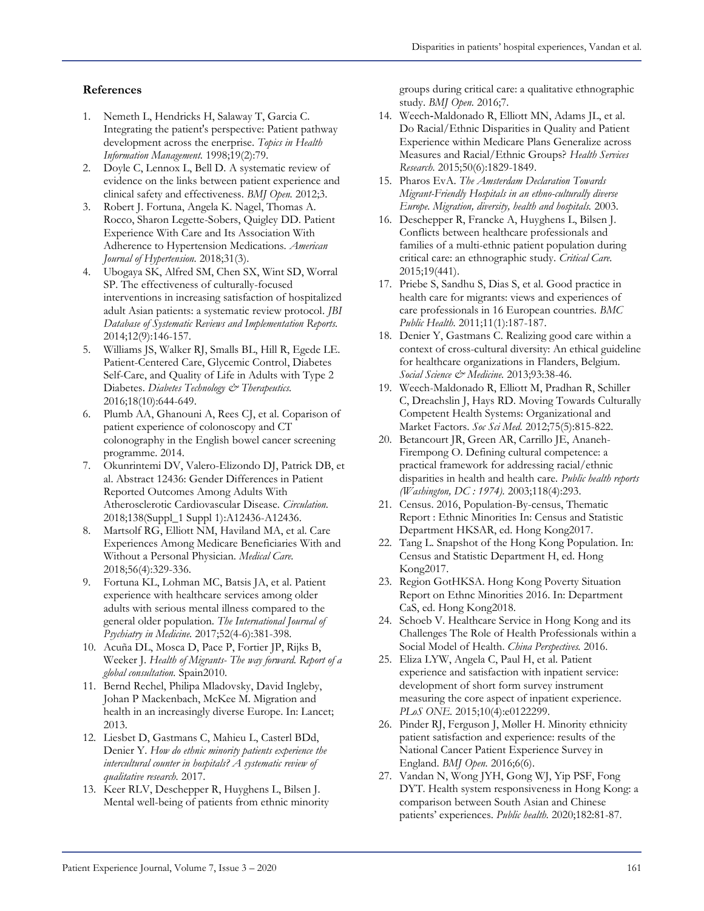#### **References**

- 1. Nemeth L, Hendricks H, Salaway T, Garcia C. Integrating the patient's perspective: Patient pathway development across the enerprise. *Topics in Health Information Management.* 1998;19(2):79.
- 2. Doyle C, Lennox L, Bell D. A systematic review of evidence on the links between patient experience and clinical safety and effectiveness. *BMJ Open.* 2012;3.
- 3. Robert J. Fortuna, Angela K. Nagel, Thomas A. Rocco, Sharon Legette-Sobers, Quigley DD. Patient Experience With Care and Its Association With Adherence to Hypertension Medications. *American Journal of Hypertension.* 2018;31(3).
- 4. Ubogaya SK, Alfred SM, Chen SX, Wint SD, Worral SP. The effectiveness of culturally-focused interventions in increasing satisfaction of hospitalized adult Asian patients: a systematic review protocol. *JBI Database of Systematic Reviews and Implementation Reports.*  2014;12(9):146-157.
- 5. Williams JS, Walker RJ, Smalls BL, Hill R, Egede LE. Patient-Centered Care, Glycemic Control, Diabetes Self-Care, and Quality of Life in Adults with Type 2 Diabetes. *Diabetes Technology & Therapeutics.*  2016;18(10):644-649.
- 6. Plumb AA, Ghanouni A, Rees CJ, et al. Coparison of patient experience of colonoscopy and CT colonography in the English bowel cancer screening programme. 2014.
- 7. Okunrintemi DV, Valero-Elizondo DJ, Patrick DB, et al. Abstract 12436: Gender Differences in Patient Reported Outcomes Among Adults With Atherosclerotic Cardiovascular Disease. *Circulation.*  2018;138(Suppl\_1 Suppl 1):A12436-A12436.
- 8. Martsolf RG, Elliott NM, Haviland MA, et al. Care Experiences Among Medicare Beneficiaries With and Without a Personal Physician. *Medical Care.*  2018;56(4):329-336.
- 9. Fortuna KL, Lohman MC, Batsis JA, et al. Patient experience with healthcare services among older adults with serious mental illness compared to the general older population. *The International Journal of Psychiatry in Medicine.* 2017;52(4-6):381-398.
- 10. Acuña DL, Mosca D, Pace P, Fortier JP, Rijks B, Weeker J. *Health of Migrants- The way forward. Report of a global consultation.* Spain2010.
- 11. Bernd Rechel, Philipa Mladovsky, David Ingleby, Johan P Mackenbach, McKee M. Migration and health in an increasingly diverse Europe. In: Lancet; 2013.
- 12. Liesbet D, Gastmans C, Mahieu L, Casterl BDd, Denier Y. *How do ethnic minority patients experience the intercultural counter in hospitals? A systematic review of qualitative research.* 2017.
- 13. Keer RLV, Deschepper R, Huyghens L, Bilsen J. Mental well-being of patients from ethnic minority

groups during critical care: a qualitative ethnographic study. *BMJ Open.* 2016;7.

- 14. Weech‐Maldonado R, Elliott MN, Adams JL, et al. Do Racial/Ethnic Disparities in Quality and Patient Experience within Medicare Plans Generalize across Measures and Racial/Ethnic Groups? *Health Services Research.* 2015;50(6):1829-1849.
- 15. Pharos EvA. *The Amsterdam Declaration Towards Migrant-Friendly Hospitals in an ethno-culturally diverse Europe. Migration, diversity, health and hospitals.* 2003.
- 16. Deschepper R, Francke A, Huyghens L, Bilsen J. Conflicts between healthcare professionals and families of a multi-ethnic patient population during critical care: an ethnographic study. *Critical Care.*  2015;19(441).
- 17. Priebe S, Sandhu S, Dias S, et al. Good practice in health care for migrants: views and experiences of care professionals in 16 European countries. *BMC Public Health.* 2011;11(1):187-187.
- 18. Denier Y, Gastmans C. Realizing good care within a context of cross-cultural diversity: An ethical guideline for healthcare organizations in Flanders, Belgium. *Social Science & Medicine.* 2013;93:38-46.
- 19. Weech-Maldonado R, Elliott M, Pradhan R, Schiller C, Dreachslin J, Hays RD. Moving Towards Culturally Competent Health Systems: Organizational and Market Factors. *Soc Sci Med.* 2012;75(5):815-822.
- 20. Betancourt JR, Green AR, Carrillo JE, Ananeh-Firempong O. Defining cultural competence: a practical framework for addressing racial/ethnic disparities in health and health care. *Public health reports (Washington, DC : 1974).* 2003;118(4):293.
- 21. Census. 2016, Population-By-census, Thematic Report : Ethnic Minorities In: Census and Statistic Department HKSAR, ed. Hong Kong2017.
- 22. Tang L. Snapshot of the Hong Kong Population. In: Census and Statistic Department H, ed. Hong Kong2017.
- 23. Region GotHKSA. Hong Kong Poverty Situation Report on Ethnc Minorities 2016. In: Department CaS, ed. Hong Kong2018.
- 24. Schoeb V. Healthcare Service in Hong Kong and its Challenges The Role of Health Professionals within a Social Model of Health. *China Perspectives.* 2016.
- 25. Eliza LYW, Angela C, Paul H, et al. Patient experience and satisfaction with inpatient service: development of short form survey instrument measuring the core aspect of inpatient experience. *PLoS ONE.* 2015;10(4):e0122299.
- 26. Pinder RJ, Ferguson J, Møller H. Minority ethnicity patient satisfaction and experience: results of the National Cancer Patient Experience Survey in England. *BMJ Open.* 2016;6(6).
- 27. Vandan N, Wong JYH, Gong WJ, Yip PSF, Fong DYT. Health system responsiveness in Hong Kong: a comparison between South Asian and Chinese patients' experiences. *Public health.* 2020;182:81-87.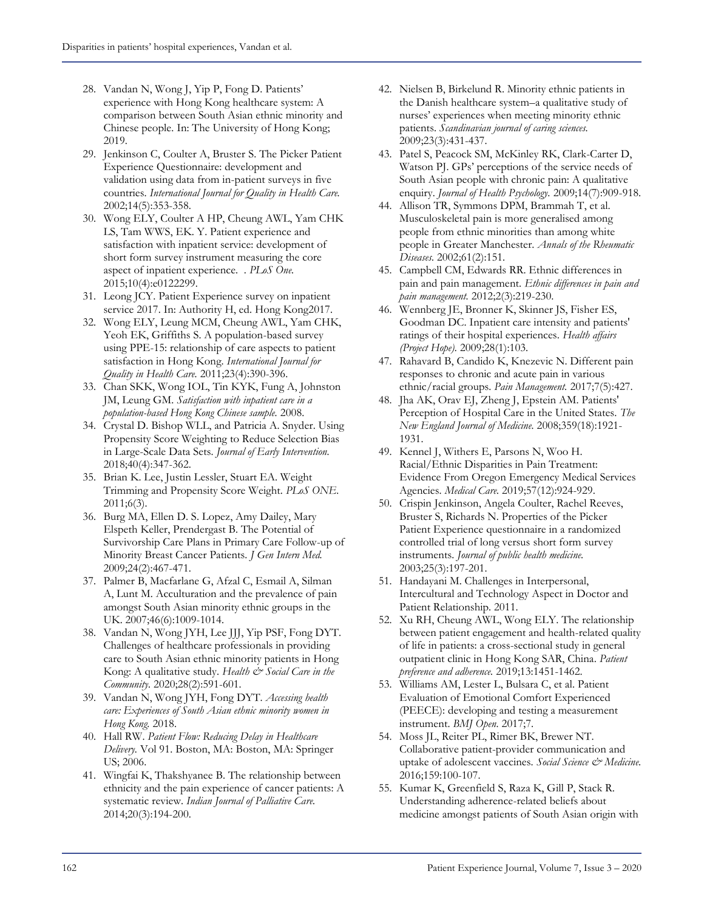- 28. Vandan N, Wong J, Yip P, Fong D. Patients' experience with Hong Kong healthcare system: A comparison between South Asian ethnic minority and Chinese people. In: The University of Hong Kong; 2019.
- 29. Jenkinson C, Coulter A, Bruster S. The Picker Patient Experience Questionnaire: development and validation using data from in-patient surveys in five countries. *International Journal for Quality in Health Care.*  2002;14(5):353-358.
- 30. Wong ELY, Coulter A HP, Cheung AWL, Yam CHK LS, Tam WWS, EK. Y. Patient experience and satisfaction with inpatient service: development of short form survey instrument measuring the core aspect of inpatient experience. . *PLoS One.*  2015;10(4):e0122299.
- 31. Leong JCY. Patient Experience survey on inpatient service 2017. In: Authority H, ed. Hong Kong2017.
- 32. Wong ELY, Leung MCM, Cheung AWL, Yam CHK, Yeoh EK, Griffiths S. A population-based survey using PPE-15: relationship of care aspects to patient satisfaction in Hong Kong. *International Journal for Quality in Health Care.* 2011;23(4):390-396.
- 33. Chan SKK, Wong IOL, Tin KYK, Fung A, Johnston JM, Leung GM. *Satisfaction with inpatient care in a population-based Hong Kong Chinese sample.* 2008.
- 34. Crystal D. Bishop WLL, and Patricia A. Snyder. Using Propensity Score Weighting to Reduce Selection Bias in Large-Scale Data Sets. *Journal of Early Intervention.*  2018;40(4):347-362.
- 35. Brian K. Lee, Justin Lessler, Stuart EA. Weight Trimming and Propensity Score Weight. *PLoS ONE.*  2011;6(3).
- 36. Burg MA, Ellen D. S. Lopez, Amy Dailey, Mary Elspeth Keller, Prendergast B. The Potential of Survivorship Care Plans in Primary Care Follow-up of Minority Breast Cancer Patients. *J Gen Intern Med.*  2009;24(2):467-471.
- 37. Palmer B, Macfarlane G, Afzal C, Esmail A, Silman A, Lunt M. Acculturation and the prevalence of pain amongst South Asian minority ethnic groups in the UK. 2007;46(6):1009-1014.
- 38. Vandan N, Wong JYH, Lee JJJ, Yip PSF, Fong DYT. Challenges of healthcare professionals in providing care to South Asian ethnic minority patients in Hong Kong: A qualitative study. Health & Social Care in the *Community.* 2020;28(2):591-601.
- 39. Vandan N, Wong JYH, Fong DYT. *Accessing health care: Experiences of South Asian ethnic minority women in Hong Kong.* 2018.
- 40. Hall RW. *Patient Flow: Reducing Delay in Healthcare Delivery.* Vol 91. Boston, MA: Boston, MA: Springer US; 2006.
- 41. Wingfai K, Thakshyanee B. The relationship between ethnicity and the pain experience of cancer patients: A systematic review. *Indian Journal of Palliative Care.*  2014;20(3):194-200.
- 42. Nielsen B, Birkelund R. Minority ethnic patients in the Danish healthcare system–a qualitative study of nurses' experiences when meeting minority ethnic patients. *Scandinavian journal of caring sciences.*  2009;23(3):431-437.
- 43. Patel S, Peacock SM, McKinley RK, Clark-Carter D, Watson PJ. GPs' perceptions of the service needs of South Asian people with chronic pain: A qualitative enquiry. *Journal of Health Psychology.* 2009;14(7):909-918.
- 44. Allison TR, Symmons DPM, Brammah T, et al. Musculoskeletal pain is more generalised among people from ethnic minorities than among white people in Greater Manchester. *Annals of the Rheumatic Diseases.* 2002;61(2):151.
- 45. Campbell CM, Edwards RR. Ethnic differences in pain and pain management. *Ethnic differences in pain and pain management.* 2012;2(3):219-230.
- 46. Wennberg JE, Bronner K, Skinner JS, Fisher ES, Goodman DC. Inpatient care intensity and patients' ratings of their hospital experiences. *Health affairs (Project Hope).* 2009;28(1):103.
- 47. Rahavard B, Candido K, Knezevic N. Different pain responses to chronic and acute pain in various ethnic/racial groups. *Pain Management.* 2017;7(5):427.
- 48. Jha AK, Orav EJ, Zheng J, Epstein AM. Patients' Perception of Hospital Care in the United States. *The New England Journal of Medicine.* 2008;359(18):1921- 1931.
- 49. Kennel J, Withers E, Parsons N, Woo H. Racial/Ethnic Disparities in Pain Treatment: Evidence From Oregon Emergency Medical Services Agencies. *Medical Care.* 2019;57(12):924-929.
- 50. Crispin Jenkinson, Angela Coulter, Rachel Reeves, Bruster S, Richards N. Properties of the Picker Patient Experience questionnaire in a randomized controlled trial of long versus short form survey instruments. *Journal of public health medicine.*  2003;25(3):197-201.
- 51. Handayani M. Challenges in Interpersonal, Intercultural and Technology Aspect in Doctor and Patient Relationship. 2011.
- 52. Xu RH, Cheung AWL, Wong ELY. The relationship between patient engagement and health-related quality of life in patients: a cross-sectional study in general outpatient clinic in Hong Kong SAR, China. *Patient preference and adherence.* 2019;13:1451-1462.
- 53. Williams AM, Lester L, Bulsara C, et al. Patient Evaluation of Emotional Comfort Experienced (PEECE): developing and testing a measurement instrument. *BMJ Open.* 2017;7.
- 54. Moss JL, Reiter PL, Rimer BK, Brewer NT. Collaborative patient-provider communication and uptake of adolescent vaccines. *Social Science & Medicine.*  2016;159:100-107.
- 55. Kumar K, Greenfield S, Raza K, Gill P, Stack R. Understanding adherence-related beliefs about medicine amongst patients of South Asian origin with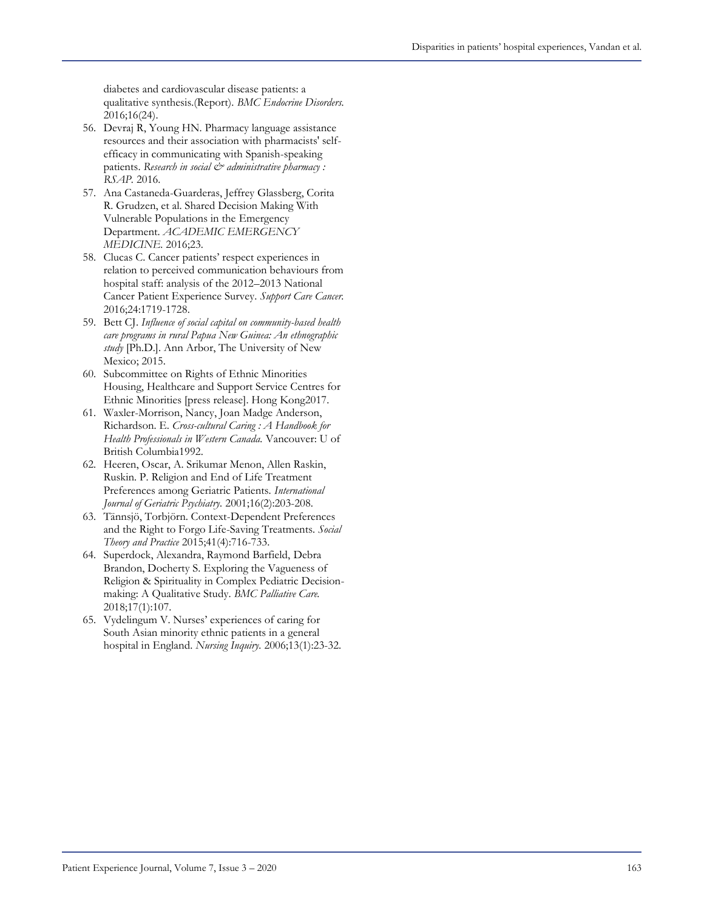diabetes and cardiovascular disease patients: a qualitative synthesis.(Report). *BMC Endocrine Disorders.*  2016;16(24).

- 56. Devraj R, Young HN. Pharmacy language assistance resources and their association with pharmacists' selfefficacy in communicating with Spanish-speaking patients. Research in social  $\mathcal{Q}^*$  administrative pharmacy : *RSAP.* 2016.
- 57. Ana Castaneda-Guarderas, Jeffrey Glassberg, Corita R. Grudzen, et al. Shared Decision Making With Vulnerable Populations in the Emergency Department. *ACADEMIC EMERGENCY MEDICINE.* 2016;23.
- 58. Clucas C. Cancer patients' respect experiences in relation to perceived communication behaviours from hospital staff: analysis of the 2012–2013 National Cancer Patient Experience Survey. *Support Care Cancer.*  2016;24:1719-1728.
- 59. Bett CJ. *Influence of social capital on community-based health care programs in rural Papua New Guinea: An ethnographic study* [Ph.D.]. Ann Arbor, The University of New Mexico; 2015.
- 60. Subcommittee on Rights of Ethnic Minorities Housing, Healthcare and Support Service Centres for Ethnic Minorities [press release]. Hong Kong2017.
- 61. Waxler-Morrison, Nancy, Joan Madge Anderson, Richardson. E. *Cross-cultural Caring : A Handbook for Health Professionals in Western Canada.* Vancouver: U of British Columbia1992.
- 62. Heeren, Oscar, A. Srikumar Menon, Allen Raskin, Ruskin. P. Religion and End of Life Treatment Preferences among Geriatric Patients. *International Journal of Geriatric Psychiatry.* 2001;16(2):203-208.
- 63. Tännsjö, Torbjörn. Context-Dependent Preferences and the Right to Forgo Life-Saving Treatments. *Social Theory and Practice* 2015;41(4):716-733.
- 64. Superdock, Alexandra, Raymond Barfield, Debra Brandon, Docherty S. Exploring the Vagueness of Religion & Spirituality in Complex Pediatric Decisionmaking: A Qualitative Study. *BMC Palliative Care.*  2018;17(1):107.
- 65. Vydelingum V. Nurses' experiences of caring for South Asian minority ethnic patients in a general hospital in England. *Nursing Inquiry.* 2006;13(1):23-32.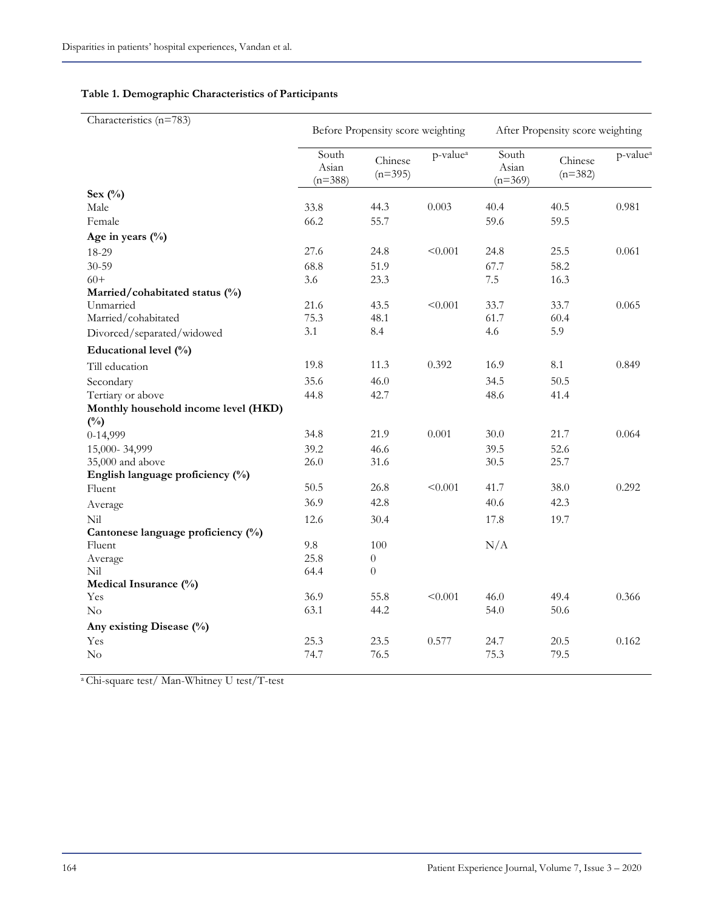| Characteristics (n=783)                               |                             | Before Propensity score weighting |                      | After Propensity score weighting |                      |                      |  |
|-------------------------------------------------------|-----------------------------|-----------------------------------|----------------------|----------------------------------|----------------------|----------------------|--|
|                                                       | South<br>Asian<br>$(n=388)$ | Chinese<br>$(n=395)$              | p-value <sup>a</sup> | South<br>Asian<br>$(n=369)$      | Chinese<br>$(n=382)$ | p-value <sup>a</sup> |  |
| Sex $(\%)$                                            |                             |                                   |                      |                                  |                      |                      |  |
| Male                                                  | 33.8                        | 44.3                              | 0.003                | 40.4                             | 40.5                 | 0.981                |  |
| Female                                                | 66.2                        | 55.7                              |                      | 59.6                             | 59.5                 |                      |  |
| Age in years $(\%$                                    |                             |                                   |                      |                                  |                      |                      |  |
| 18-29                                                 | 27.6                        | 24.8                              | < 0.001              | 24.8                             | 25.5                 | 0.061                |  |
| 30-59                                                 | 68.8                        | 51.9                              |                      | 67.7                             | 58.2                 |                      |  |
| $60+$                                                 | 3.6                         | 23.3                              |                      | 7.5                              | 16.3                 |                      |  |
| Married/cohabitated status (%)                        |                             |                                   |                      |                                  |                      |                      |  |
| Unmarried                                             | 21.6                        | 43.5                              | < 0.001              | 33.7                             | 33.7                 | 0.065                |  |
| Married/cohabitated                                   | 75.3                        | 48.1                              |                      | 61.7                             | 60.4                 |                      |  |
| Divorced/separated/widowed                            | 3.1                         | 8.4                               |                      | 4.6                              | 5.9                  |                      |  |
| Educational level (%)                                 |                             |                                   |                      |                                  |                      |                      |  |
| Till education                                        | 19.8                        | 11.3                              | 0.392                | 16.9                             | $\!\!\!\!\!8.1$      | 0.849                |  |
| Secondary                                             | 35.6                        | 46.0                              |                      | 34.5                             | 50.5                 |                      |  |
| Tertiary or above                                     | 44.8                        | 42.7                              |                      | 48.6                             | 41.4                 |                      |  |
| Monthly household income level (HKD)<br>$(^{0}/_{0})$ |                             |                                   |                      |                                  |                      |                      |  |
| 0-14,999                                              | 34.8                        | 21.9                              | 0.001                | 30.0                             | 21.7                 | 0.064                |  |
| 15,000-34,999                                         | 39.2                        | 46.6                              |                      | 39.5                             | 52.6                 |                      |  |
| 35,000 and above                                      | 26.0                        | 31.6                              |                      | 30.5                             | 25.7                 |                      |  |
| English language proficiency (%)                      |                             |                                   |                      |                                  |                      |                      |  |
| Fluent                                                | 50.5                        | 26.8                              | < 0.001              | 41.7                             | 38.0                 | 0.292                |  |
| Average                                               | 36.9                        | 42.8                              |                      | 40.6                             | 42.3                 |                      |  |
| Nil                                                   | 12.6                        | 30.4                              |                      | 17.8                             | 19.7                 |                      |  |
| Cantonese language proficiency (%)                    |                             |                                   |                      |                                  |                      |                      |  |
| Fluent                                                | 9.8                         | 100                               |                      | N/A                              |                      |                      |  |
| Average                                               | 25.8                        | $\boldsymbol{0}$                  |                      |                                  |                      |                      |  |
| Nil                                                   | 64.4                        | $\boldsymbol{0}$                  |                      |                                  |                      |                      |  |
| Medical Insurance (%)                                 |                             |                                   |                      |                                  |                      |                      |  |
| Yes                                                   | 36.9                        | 55.8                              | < 0.001              | 46.0                             | 49.4                 | 0.366                |  |
| No                                                    | 63.1                        | 44.2                              |                      | 54.0                             | 50.6                 |                      |  |
| Any existing Disease (%)                              |                             |                                   |                      |                                  |                      |                      |  |
| Yes                                                   | 25.3                        | 23.5                              | 0.577                | 24.7                             | 20.5                 | 0.162                |  |
| No                                                    | 74.7                        | 76.5                              |                      | 75.3                             | 79.5                 |                      |  |
|                                                       |                             |                                   |                      |                                  |                      |                      |  |

### **Table 1. Demographic Characteristics of Participants**

<sup>a</sup> Chi-square test/ Man-Whitney U test/T-test